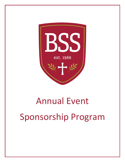

# Annual Event Sponsorship Program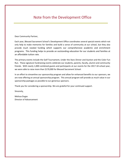# Note from the Development Office

Dear Community Partner,

Each year, Blessed Sacrament School's Development Office coordinates several special events which not only help to make memories for families and build a sense of community at our school, but they also provide much needed funding which supports our comprehensive academic and enrichment programs. This funding helps to provide an outstanding education for our students and families at an affordable tuition rate.

The primary events include the Golf Tournament, Under the Stars Dinner and Auction and the Color Fun Run. These signature fundraising events celebrate our students, parents, faculty, alumni and community friends. With nearly 1,000 combined guests and participants at our events for the 2017-18 school year, we were able to raise more than \$170,000 for Blessed Sacrament School.

In an effort to streamline our sponsorship program and allow for enhanced benefits to our sponsors, we are now offering an annual sponsorship program. This annual program will provide as much value in our sponsorship packages as possible to our generous sponsors.

Thank you for considering a sponsorship. We are grateful for your continued support.

Sincerely,

Melissa Dugas Director of Advancement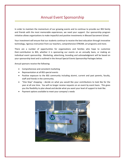## Annual Event Sponsorship

In order to maintain the momentum of our growing events and to continue to provide our BSS family and friends with the most memorable experiences, we need your support. Our sponsorship program initiative allows organizations to make impactful and positive investments in Blessed Sacrament School.

Your investment will ensure that our students continue to receive the best education through innovative technology, rigorous instruction from our teachers, comprehensive STREAM, art programs and more.

There are a number of opportunities for organizations and families who hope to customize their contribution to BSS, whether it is sponsoring our events on an annually basis, or making an individual event sponsorship. Marketing, advertising, branding and acknowledgment will be based on your sponsorship level and is outlined in the Annual Special Events Sponsorship Packages below.

Annual sponsors receive the following:

- Comprehensive and consistent marketing
- Representation at all BSS special events
- Positive exposure to the BSS community including alumni, current and past parents, faculty, staff and friends in the community.
- "One Stop" shopping decide on what you would like your contributions to look like for the year at all one time. You will no longer receive requests on an event by event basis. This gives you the flexibility to plan ahead and decide what you want your level of support to look like.
- Payment options available to meet your company's needs

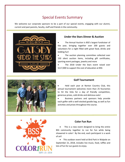## Special Events Summary

We welcome our corporate sponsors to be a part of our special events, engaging with our alumni, current and past parents, faculty, staff and friends in the community.



#### **Under the Stars Dinner & Auction**

 The Annual Auction is BSS's largest fundraiser of the year, bringing together over 200 guests and volunteers for a night filled with great food, drinks and bidding fun!

• The auction planning committee collected over 150 silent auction items, including gift certificates, sporting event packages, jewelry and more

 The 2018 Under the Stars event raised over \$117,000 to support the cost of education at BSS



#### **Golf Tournament**

 Held each year at Norton Country Club, this annual tournament welcomes more than 25 foursomes to hit the links for a day of friendly competition, generous prizes, cold drinks and delicious eats!

 Business partners and sponsors help provide each golfer with a well-stocked goodie bag, as well as fun activities and prizes throughout the course.



#### **Color Fun Run**

• This is a new event designed to bring the entire BSS community together to run for fun while being showered in color! By the end, each participant is a work of art!

 This outdoor event held at Bird Park in Walpole on September 21, 2018, includes live music, food, raffles and lots of fun for our guests to enjoy.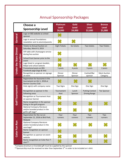# Annual Sponsorship Packages

|                               | Choose a<br><b>Sponsorship Level</b>                                                     | <b>Platinum</b><br><b>Level</b><br>\$6,000 | Gold<br><b>Level</b><br>\$4,000 | <b>Silver</b><br><b>Level</b><br>\$2,000       | <b>Bronze</b><br><b>Level</b><br>\$1,000 |
|-------------------------------|------------------------------------------------------------------------------------------|--------------------------------------------|---------------------------------|------------------------------------------------|------------------------------------------|
| General                       | Logo on BSS website as school<br>sponsor                                                 |                                            |                                 |                                                |                                          |
|                               | Logo in annual Foundations<br>newsletter sent to alumni/parents                          |                                            |                                 |                                                |                                          |
| <b>Under the Stars Dinner</b> | <b>Tickets to Annual Auction on</b><br>Saturday, March 9, 2019                           | <b>Eight Tickets</b>                       | Six tickets                     | Two tickets                                    | <b>Two Tickets</b>                       |
|                               | VIP table with champagne service<br>during live auction                                  |                                            |                                 |                                                |                                          |
| and Auction                   | School front banner prior to the<br>event                                                |                                            |                                 |                                                |                                          |
|                               | Logo listed in: program booklet,<br>Bidpal and school website                            |                                            |                                 |                                                |                                          |
|                               | Promotional posts on BSS<br>Facebook page (logo & link)                                  | 5 posts                                    | 4 posts                         | 3 posts                                        | 2 posts                                  |
|                               | Recognition as sponsor on signage<br>at event                                            | Dinner<br>Sponsor                          | Dinner<br>Sponsor               | Cocktail/Bar<br>sponsor                        | <b>Silent Auction</b><br>Category        |
|                               | Registration for foursome in the<br>tournament on Oct 1, 2018 at<br>Norton Country Club  |                                            |                                 |                                                |                                          |
|                               | Hole sign(s) with company name                                                           | <b>Two Signs</b>                           | One Sign                        | One Sign                                       | One Sign                                 |
| Golf Tournament               | Recognition as sponsor in the<br>following areas                                         | Tournament<br>Host                         | Lunch<br>Sponsor                | <b>Putting Contest</b><br><b>Driving Range</b> | <b>Tee Sponsor</b>                       |
|                               | Recognition as Tournament Host<br>on sponsor banner                                      |                                            |                                 |                                                |                                          |
|                               | Name recognition in the sponsor<br>listing in the golf program                           |                                            |                                 |                                                |                                          |
|                               | <b>Optional Company literature</b><br>and/or branded product in the<br>golfer gift bags* |                                            |                                 |                                                |                                          |
| Color Fun Run                 | Registration for the run on<br>September 21, 2018 at Bird Park,<br>Walpole               | Four<br>runners                            | Four<br>runners                 | Two<br>runners                                 | Two<br>runners                           |
|                               | <b>Optional Company literature</b><br>and/or branded product in the<br>race bags*        |                                            |                                 |                                                |                                          |
|                               | Name recognition on sponsor<br>banner                                                    |                                            |                                 |                                                |                                          |
|                               | Recognition as sponsor on event<br>website                                               |                                            |                                 |                                                |                                          |
|                               | Name recognition on Color Run T-<br>shirt**                                              |                                            |                                 |                                                |                                          |

\*Company brochure or branded gift must be supplied by the sponsor

\*\*Sponsorship must be received no later than September 5<sup>th</sup> in order to be included on t-shirt.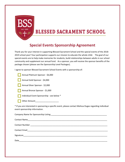

# **BLESSED SACRAMENT SCHOOL**

# **Special Events Sponsorship Agreement**

Thank you for your interest in supporting Blessed Sacrament School and the special events of the 2018- 2019 school year! Your participation supports our mission to educate the whole child. The goal of our special events are to help make memories for students, build relationships between adults in our school community and supplement our annual fund. As a sponsor, you will receive the sponsor benefits of the package chosen (please see the Sponsorship Level Packages).

I agree to sponsor Blessed Sacrament School Events with a sponsorship of:

| Annual Platinum Sponsor - \$6,000                                                                                                                                                                                              |
|--------------------------------------------------------------------------------------------------------------------------------------------------------------------------------------------------------------------------------|
| Annual Gold Sponsor - \$4,000                                                                                                                                                                                                  |
| Annual Silver Sponsor - \$2,000                                                                                                                                                                                                |
| Annual Bronze Sponsor - \$1,000                                                                                                                                                                                                |
| Individual Event Sponsorship - see below *                                                                                                                                                                                     |
| Other Amount________________________                                                                                                                                                                                           |
| * If you are interested in sponsoring a specific event, please contact Melissa Dugas regarding individual<br>event sponsorship information.                                                                                    |
| Company Name for Sponsorship Listing Company and Company Name of the Company of the Company of the Company of the Company of the Company of the Company of the Company of the Company of the Company of the Company of the Com |
|                                                                                                                                                                                                                                |
|                                                                                                                                                                                                                                |
| Contact Email <b>Executive Contact Email</b>                                                                                                                                                                                   |
| Signature                                                                                                                                                                                                                      |

Date\_\_\_\_\_\_\_\_\_\_\_\_\_\_\_\_\_\_\_\_\_\_\_\_\_\_\_\_\_\_\_\_\_\_\_\_\_\_\_\_\_\_\_\_\_\_\_\_\_\_\_\_\_\_\_\_\_\_\_\_\_\_\_\_\_\_\_\_\_\_\_\_\_\_\_\_\_\_\_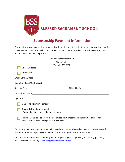

# **Sponsorship Payment Information**

Payment for sponsorship shall be submitted with this document in order to secure sponsorship benefits. These payments can be made by credit card or by checks made payable to Blessed Sacrament School and mailed to the following address:

| <b>Blessed Sacrament School</b>                                                                                                           |  |  |  |  |  |
|-------------------------------------------------------------------------------------------------------------------------------------------|--|--|--|--|--|
| 808 East Street                                                                                                                           |  |  |  |  |  |
| Walpole, MA 02081                                                                                                                         |  |  |  |  |  |
| <b>Check Enclosed</b>                                                                                                                     |  |  |  |  |  |
| <b>Credit Card</b>                                                                                                                        |  |  |  |  |  |
|                                                                                                                                           |  |  |  |  |  |
|                                                                                                                                           |  |  |  |  |  |
|                                                                                                                                           |  |  |  |  |  |
|                                                                                                                                           |  |  |  |  |  |
|                                                                                                                                           |  |  |  |  |  |
|                                                                                                                                           |  |  |  |  |  |
|                                                                                                                                           |  |  |  |  |  |
| (September, December, March, and June)                                                                                                    |  |  |  |  |  |
| Periodic Donation - to create a personalized payment schedule that best suits your needs,<br>please contact Melissa Dugas at 508-668-2663 |  |  |  |  |  |
|                                                                                                                                           |  |  |  |  |  |

Please note that once your sponsorship form and your payment is received, we will contact you with further information regarding your benefits (i.e. logo, ad, promotional products, etc.).

On behalf of the entire BSS community, we thank you for your support! If you have any questions, please contact Melissa Dugas [mdugas@blessedsacrament.org](mailto:mdugas@blessedsacrament.org)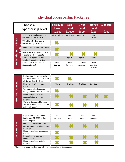# Individual Sponsorship Packages

|                                                                   | Choose a<br><b>Sponsorship Level</b>                           | <b>Platinum</b><br><b>Level</b><br>\$2,000 | Gold<br><b>Level</b><br>\$1,000 | <b>Silver</b><br><b>Level</b><br>\$500 | <b>Bronze</b><br><b>Level</b><br>\$250 | <b>Supporter</b><br>\$100 |
|-------------------------------------------------------------------|----------------------------------------------------------------|--------------------------------------------|---------------------------------|----------------------------------------|----------------------------------------|---------------------------|
| <b>Dinner</b><br>Auction<br><b>Under the Stars</b><br><b>Dure</b> | <b>Tickets to Annual Auction on</b><br>Saturday, March 9, 2019 | <b>Eight Tickets</b>                       | Six tickets                     | Two tickets                            | Two<br><b>Tickets</b>                  |                           |
|                                                                   | VIP table with champagne<br>service during live auction        |                                            |                                 |                                        |                                        |                           |
|                                                                   | School front banner prior to the<br>event                      |                                            |                                 |                                        |                                        |                           |
|                                                                   | Logo listed in: program booklet,<br>Bidpal and school website  |                                            |                                 |                                        |                                        |                           |
|                                                                   | Promotional posts on BSS<br>Facebook page (logo & link)        | 5 posts                                    | 4 posts                         | 3 posts                                | 2 posts                                |                           |
|                                                                   | Recognition as sponsor on<br>signage at event                  | Dinner<br>Sponsor                          | <b>Dinner</b><br>Sponsor        | Cocktail/Bar<br>sponsor                | Silent<br>Auction<br>Category          |                           |

| Golf Tournament | Registration for foursome in<br>the tournament on Oct 1, 2018<br>at Norton Country Club  |               |          |          |          |  |
|-----------------|------------------------------------------------------------------------------------------|---------------|----------|----------|----------|--|
|                 | Hole sign(s) with company<br>name                                                        | <b>TSigns</b> | One Sign | One Sign | One Sign |  |
|                 | Tournament Host sponsor -<br>recognition on sponsor banner                               |               |          |          |          |  |
|                 | Name recognition in the<br>sponsor listing in the golf<br>program                        |               |          |          |          |  |
|                 | <b>Optional Company literature</b><br>and/or branded product in the<br>golfer gift bags* |               |          |          |          |  |

| Color Fun Run | Registration for the run on<br>September 21, 2018 at Bird<br>Park, Walpole        | Four<br>runners | Four<br>runners | Two<br>runners | Two<br>runners |  |
|---------------|-----------------------------------------------------------------------------------|-----------------|-----------------|----------------|----------------|--|
|               | <b>Optional Company literature</b><br>and/or branded product in the<br>race bags* |                 |                 |                |                |  |
|               | Name recognition on sponsor<br>banner                                             |                 |                 |                |                |  |
|               | Recognition as sponsor on<br>event website                                        |                 |                 |                |                |  |
|               | Name recognition on Color<br>Run T-shirt**                                        |                 |                 |                |                |  |

\*Company brochure or branded gift must be supplied by the sponsor